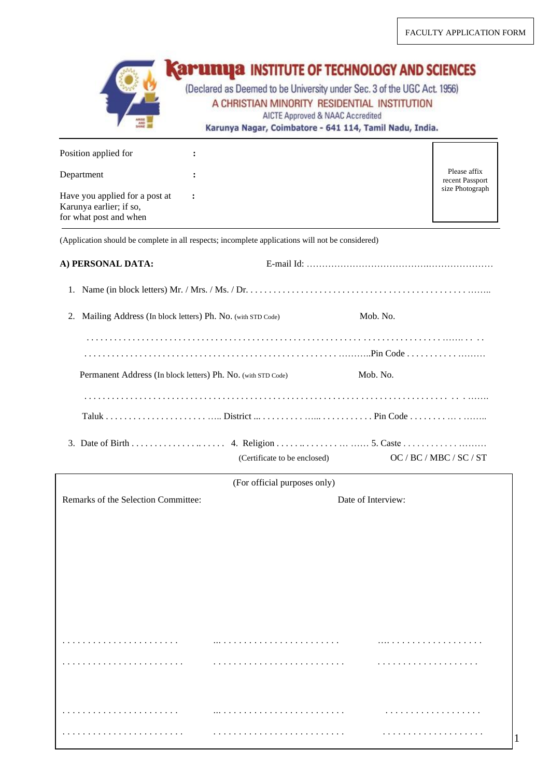|                                                                                                  | (Declared as Deemed to be University under Sec. 3 of the UGC Act. 1956)<br>A CHRISTIAN MINORITY RESIDENTIAL INSTITUTION<br>AICTE Approved & NAAC Accredited<br>Karunya Nagar, Coimbatore - 641 114, Tamil Nadu, India. | <b>APURUA INSTITUTE OF TECHNOLOGY AND SCIENCES</b> |
|--------------------------------------------------------------------------------------------------|------------------------------------------------------------------------------------------------------------------------------------------------------------------------------------------------------------------------|----------------------------------------------------|
| Position applied for                                                                             |                                                                                                                                                                                                                        |                                                    |
|                                                                                                  |                                                                                                                                                                                                                        | Please affix                                       |
| Department                                                                                       |                                                                                                                                                                                                                        | recent Passport<br>size Photograph                 |
| Have you applied for a post at<br>Karunya earlier; if so,<br>for what post and when              |                                                                                                                                                                                                                        |                                                    |
| (Application should be complete in all respects; incomplete applications will not be considered) |                                                                                                                                                                                                                        |                                                    |
| A) PERSONAL DATA:                                                                                |                                                                                                                                                                                                                        |                                                    |
|                                                                                                  |                                                                                                                                                                                                                        |                                                    |
| Mailing Address (In block letters) Ph. No. (with STD Code)<br>2.                                 |                                                                                                                                                                                                                        | Mob. No.                                           |
|                                                                                                  |                                                                                                                                                                                                                        |                                                    |
|                                                                                                  |                                                                                                                                                                                                                        |                                                    |
| Permanent Address (In block letters) Ph. No. (with STD Code)                                     |                                                                                                                                                                                                                        | Mob. No.                                           |
|                                                                                                  |                                                                                                                                                                                                                        |                                                    |
|                                                                                                  |                                                                                                                                                                                                                        |                                                    |
|                                                                                                  |                                                                                                                                                                                                                        |                                                    |
|                                                                                                  | (Certificate to be enclosed)                                                                                                                                                                                           | OC / BC / MBC / SC / ST                            |
|                                                                                                  | (For official purposes only)                                                                                                                                                                                           |                                                    |
| Remarks of the Selection Committee:                                                              |                                                                                                                                                                                                                        | Date of Interview:                                 |
|                                                                                                  |                                                                                                                                                                                                                        |                                                    |
|                                                                                                  |                                                                                                                                                                                                                        |                                                    |
|                                                                                                  |                                                                                                                                                                                                                        |                                                    |
|                                                                                                  |                                                                                                                                                                                                                        |                                                    |
|                                                                                                  |                                                                                                                                                                                                                        |                                                    |
|                                                                                                  |                                                                                                                                                                                                                        |                                                    |
|                                                                                                  |                                                                                                                                                                                                                        |                                                    |
|                                                                                                  |                                                                                                                                                                                                                        |                                                    |
|                                                                                                  |                                                                                                                                                                                                                        |                                                    |
|                                                                                                  |                                                                                                                                                                                                                        |                                                    |
|                                                                                                  |                                                                                                                                                                                                                        |                                                    |

. . . . . . . . . . . . . . . . . . . . . . . . . . . . . . . . . . . . . . . . . . . . . . . . . . . . . . . . . . . . . . . . . . . . . .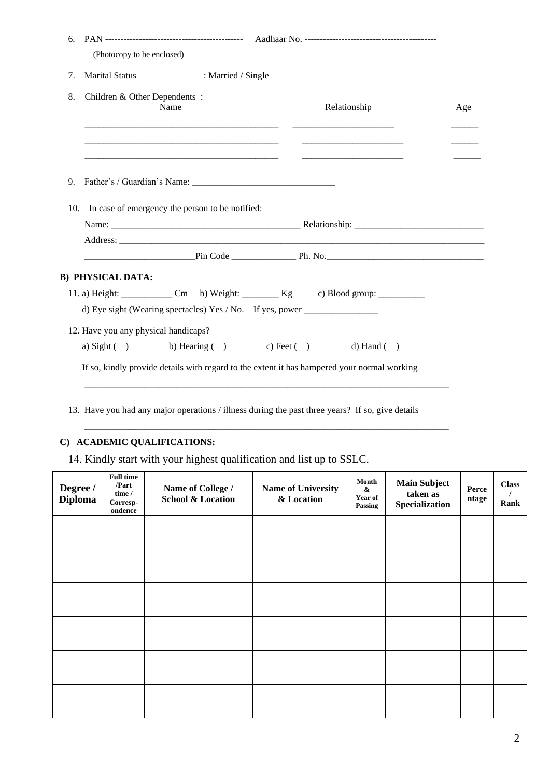| 6.  | (Photocopy to be enclosed)           |                                                 |                                                                                             |     |
|-----|--------------------------------------|-------------------------------------------------|---------------------------------------------------------------------------------------------|-----|
| 7.  | <b>Marital Status</b>                | : Married / Single                              |                                                                                             |     |
|     |                                      |                                                 |                                                                                             |     |
| 8.  | Children & Other Dependents:         | Name                                            | Relationship                                                                                | Age |
|     |                                      |                                                 |                                                                                             |     |
| 9.  |                                      |                                                 |                                                                                             |     |
| 10. |                                      | In case of emergency the person to be notified: |                                                                                             |     |
|     |                                      |                                                 |                                                                                             |     |
|     |                                      |                                                 |                                                                                             |     |
|     |                                      |                                                 |                                                                                             |     |
|     | <b>B) PHYSICAL DATA:</b>             |                                                 |                                                                                             |     |
|     |                                      |                                                 | 11. a) Height: _______________ Cm b) Weight: __________ Kg c) Blood group: ___________      |     |
|     |                                      |                                                 | d) Eye sight (Wearing spectacles) Yes / No. If yes, power _______________________           |     |
|     | 12. Have you any physical handicaps? |                                                 |                                                                                             |     |
|     | a) Sight $( )$                       |                                                 | b) Hearing ( ) c) Feet ( ) d) Hand ( )                                                      |     |
|     |                                      |                                                 | If so, kindly provide details with regard to the extent it has hampered your normal working |     |

13. Have you had any major operations / illness during the past three years? If so, give details

 $\mathcal{L}_\text{max}$  , and the set of the set of the set of the set of the set of the set of the set of the set of the set of the set of the set of the set of the set of the set of the set of the set of the set of the set of the

# **C) ACADEMIC QUALIFICATIONS:**

14. Kindly start with your highest qualification and list up to SSLC.

| Degree /<br><b>Diploma</b> | <b>Full time</b><br>/Part<br>time /<br>$Corresp-$<br>ondence | Name of College /<br><b>School &amp; Location</b> | Name of University<br>& Location | Month<br>&<br>Year of<br>Passing | <b>Main Subject</b><br>taken as<br>Specialization | Perce<br>ntage | <b>Class</b><br>Rank |
|----------------------------|--------------------------------------------------------------|---------------------------------------------------|----------------------------------|----------------------------------|---------------------------------------------------|----------------|----------------------|
|                            |                                                              |                                                   |                                  |                                  |                                                   |                |                      |
|                            |                                                              |                                                   |                                  |                                  |                                                   |                |                      |
|                            |                                                              |                                                   |                                  |                                  |                                                   |                |                      |
|                            |                                                              |                                                   |                                  |                                  |                                                   |                |                      |
|                            |                                                              |                                                   |                                  |                                  |                                                   |                |                      |
|                            |                                                              |                                                   |                                  |                                  |                                                   |                |                      |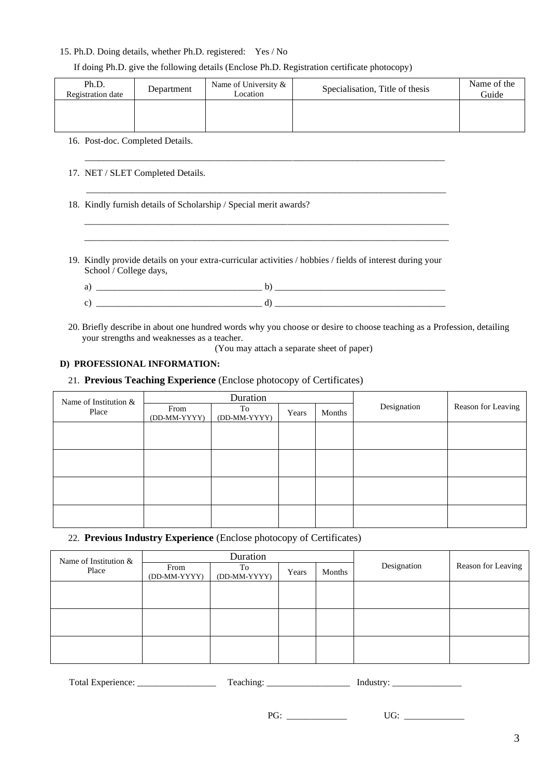#### 15. Ph.D. Doing details, whether Ph.D. registered: Yes / No

#### If doing Ph.D. give the following details (Enclose Ph.D. Registration certificate photocopy)

| Ph.D.<br>Registration date | Department | Name of University &<br>Location | Specialisation, Title of thesis | Name of the<br>Guide |
|----------------------------|------------|----------------------------------|---------------------------------|----------------------|
|                            |            |                                  |                                 |                      |

#### 16. Post-doc. Completed Details.

- 17. NET / SLET Completed Details.
- 18. Kindly furnish details of Scholarship / Special merit awards?
- 19. Kindly provide details on your extra-curricular activities / hobbies / fields of interest during your School / College days,

 $\mathcal{L} = \{ \mathcal{L} = \{ \mathcal{L} \mid \mathcal{L} = \{ \mathcal{L} \mid \mathcal{L} = \{ \mathcal{L} \mid \mathcal{L} = \{ \mathcal{L} \mid \mathcal{L} = \{ \mathcal{L} \mid \mathcal{L} = \{ \mathcal{L} \mid \mathcal{L} = \{ \mathcal{L} \mid \mathcal{L} = \{ \mathcal{L} \mid \mathcal{L} = \{ \mathcal{L} \mid \mathcal{L} = \{ \mathcal{L} \mid \mathcal{L} = \{ \mathcal{L} \mid \mathcal{L} = \{ \mathcal{L} \mid \mathcal{L} =$  $\mathcal{L} = \{ \mathcal{L} = \{ \mathcal{L} \mid \mathcal{L} = \{ \mathcal{L} \mid \mathcal{L} = \{ \mathcal{L} \mid \mathcal{L} = \{ \mathcal{L} \mid \mathcal{L} = \{ \mathcal{L} \mid \mathcal{L} = \{ \mathcal{L} \mid \mathcal{L} = \{ \mathcal{L} \mid \mathcal{L} = \{ \mathcal{L} \mid \mathcal{L} = \{ \mathcal{L} \mid \mathcal{L} = \{ \mathcal{L} \mid \mathcal{L} = \{ \mathcal{L} \mid \mathcal{L} = \{ \mathcal{L} \mid \mathcal{L} =$ 

| _____ |
|-------|

\_\_\_\_\_\_\_\_\_\_\_\_\_\_\_\_\_\_\_\_\_\_\_\_\_\_\_\_\_\_\_\_\_\_\_\_\_\_\_\_\_\_\_\_\_\_\_\_\_\_\_\_\_\_\_\_\_\_\_\_\_\_\_\_\_\_\_\_\_\_\_\_\_\_\_\_\_\_

\_\_\_\_\_\_\_\_\_\_\_\_\_\_\_\_\_\_\_\_\_\_\_\_\_\_\_\_\_\_\_\_\_\_\_\_\_\_\_\_\_\_\_\_\_\_\_\_\_\_\_\_\_\_\_\_\_\_\_\_\_\_\_\_\_\_\_\_\_\_\_\_\_\_\_\_\_\_

- 20. Briefly describe in about one hundred words why you choose or desire to choose teaching as a Profession, detailing your strengths and weaknesses as a teacher.
	- (You may attach a separate sheet of paper)

# **D) PROFESSIONAL INFORMATION:**

#### 21. **Previous Teaching Experience** (Enclose photocopy of Certificates)

| Name of Institution & | Duration             |                    |       |        |             |                    |
|-----------------------|----------------------|--------------------|-------|--------|-------------|--------------------|
| Place                 | From<br>(DD-MM-YYYY) | To<br>(DD-MM-YYYY) | Years | Months | Designation | Reason for Leaving |
|                       |                      |                    |       |        |             |                    |
|                       |                      |                    |       |        |             |                    |
|                       |                      |                    |       |        |             |                    |
|                       |                      |                    |       |        |             |                    |
|                       |                      |                    |       |        |             |                    |
|                       |                      |                    |       |        |             |                    |
|                       |                      |                    |       |        |             |                    |
|                       |                      |                    |       |        |             |                    |

### 22. **Previous Industry Experience** (Enclose photocopy of Certificates)

| Name of Institution & | Duration             |                    |       |        |             |                    |
|-----------------------|----------------------|--------------------|-------|--------|-------------|--------------------|
| Place                 | From<br>(DD-MM-YYYY) | To<br>(DD-MM-YYYY) | Years | Months | Designation | Reason for Leaving |
|                       |                      |                    |       |        |             |                    |
|                       |                      |                    |       |        |             |                    |
|                       |                      |                    |       |        |             |                    |
|                       |                      |                    |       |        |             |                    |
|                       |                      |                    |       |        |             |                    |
|                       |                      |                    |       |        |             |                    |

| $\mathbf{r}$<br>отаг<br>XIP<br>16<br>. | --<br>я<br>. | n<br>⋯. |
|----------------------------------------|--------------|---------|
|----------------------------------------|--------------|---------|

PG: \_\_\_\_\_\_\_\_\_\_\_\_\_ UG: \_\_\_\_\_\_\_\_\_\_\_\_\_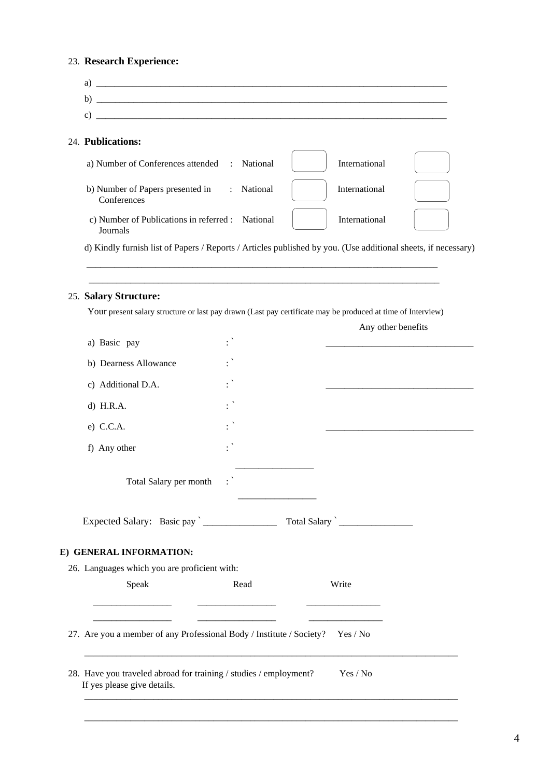# 23. **Research Experience:**

| Speak                                                                                                                                                                                                                                                                                                  | Read                  | Write                                                                                                                                                                                                                          |  |
|--------------------------------------------------------------------------------------------------------------------------------------------------------------------------------------------------------------------------------------------------------------------------------------------------------|-----------------------|--------------------------------------------------------------------------------------------------------------------------------------------------------------------------------------------------------------------------------|--|
| 26. Languages which you are proficient with:                                                                                                                                                                                                                                                           |                       |                                                                                                                                                                                                                                |  |
| E) GENERAL INFORMATION:                                                                                                                                                                                                                                                                                |                       |                                                                                                                                                                                                                                |  |
| Expected Salary: Basic pay <u>___________</u>                                                                                                                                                                                                                                                          |                       | Total Salary 2.1 and 2.1 and 2.1 and 2.1 and 2.1 and 2.1 and 2.1 and 2.1 and 2.1 and 2.1 and 2.1 and 2.1 and 2.1 and 2.1 and 2.1 and 2.1 and 2.1 and 2.1 and 2.1 and 2.1 and 2.1 and 2.1 and 2.1 and 2.1 and 2.1 and 2.1 and 2 |  |
| Total Salary per month                                                                                                                                                                                                                                                                                 |                       |                                                                                                                                                                                                                                |  |
| f) Any other                                                                                                                                                                                                                                                                                           |                       |                                                                                                                                                                                                                                |  |
| $e)$ C.C.A.                                                                                                                                                                                                                                                                                            |                       |                                                                                                                                                                                                                                |  |
| $d)$ H.R.A.                                                                                                                                                                                                                                                                                            |                       |                                                                                                                                                                                                                                |  |
| c) Additional D.A.                                                                                                                                                                                                                                                                                     |                       |                                                                                                                                                                                                                                |  |
| b) Dearness Allowance                                                                                                                                                                                                                                                                                  |                       |                                                                                                                                                                                                                                |  |
| a) Basic pay                                                                                                                                                                                                                                                                                           |                       |                                                                                                                                                                                                                                |  |
|                                                                                                                                                                                                                                                                                                        |                       | Any other benefits                                                                                                                                                                                                             |  |
| 25. Salary Structure:<br>Your present salary structure or last pay drawn (Last pay certificate may be produced at time of Interview)                                                                                                                                                                   |                       |                                                                                                                                                                                                                                |  |
|                                                                                                                                                                                                                                                                                                        |                       |                                                                                                                                                                                                                                |  |
| d) Kindly furnish list of Papers / Reports / Articles published by you. (Use additional sheets, if necessary)                                                                                                                                                                                          |                       |                                                                                                                                                                                                                                |  |
| c) Number of Publications in referred : National<br>Journals                                                                                                                                                                                                                                           |                       | International                                                                                                                                                                                                                  |  |
| b) Number of Papers presented in<br>Conferences                                                                                                                                                                                                                                                        | National<br>$\sim$ 10 | International                                                                                                                                                                                                                  |  |
| a) Number of Conferences attended : National                                                                                                                                                                                                                                                           |                       | International                                                                                                                                                                                                                  |  |
| 24. Publications:                                                                                                                                                                                                                                                                                      |                       |                                                                                                                                                                                                                                |  |
| c) $\frac{1}{2}$ = $\frac{1}{2}$ = $\frac{1}{2}$ = $\frac{1}{2}$ = $\frac{1}{2}$ = $\frac{1}{2}$ = $\frac{1}{2}$ = $\frac{1}{2}$ = $\frac{1}{2}$ = $\frac{1}{2}$ = $\frac{1}{2}$ = $\frac{1}{2}$ = $\frac{1}{2}$ = $\frac{1}{2}$ = $\frac{1}{2}$ = $\frac{1}{2}$ = $\frac{1}{2}$ = $\frac{1}{2}$ = $\$ |                       |                                                                                                                                                                                                                                |  |
|                                                                                                                                                                                                                                                                                                        |                       |                                                                                                                                                                                                                                |  |

28. Have you traveled abroad for training / studies / employment? Yes / No If yes please give details.

 $\overline{\phantom{a}}$  , and the contribution of the contribution of the contribution of the contribution of the contribution of the contribution of the contribution of the contribution of the contribution of the contribution of the

 $\mathcal{L}_\text{max}$  , and the set of the set of the set of the set of the set of the set of the set of the set of the set of the set of the set of the set of the set of the set of the set of the set of the set of the set of the